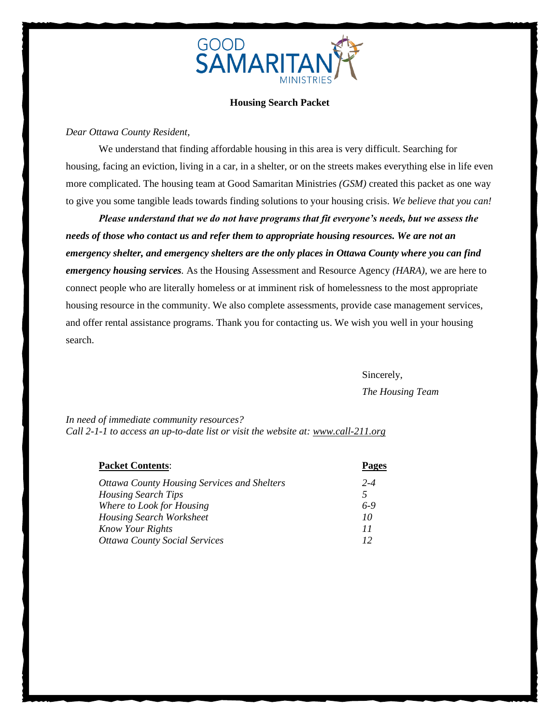

### **Housing Search Packet**

## *Dear Ottawa County Resident,*

We understand that finding affordable housing in this area is very difficult. Searching for housing, facing an eviction, living in a car, in a shelter, or on the streets makes everything else in life even more complicated. The housing team at Good Samaritan Ministries *(GSM)* created this packet as one way to give you some tangible leads towards finding solutions to your housing crisis. *We believe that you can!*

*Please understand that we do not have programs that fit everyone's needs, but we assess the needs of those who contact us and refer them to appropriate housing resources. We are not an emergency shelter, and emergency shelters are the only places in Ottawa County where you can find emergency housing services.* As the Housing Assessment and Resource Agency *(HARA)*, we are here to connect people who are literally homeless or at imminent risk of homelessness to the most appropriate housing resource in the community. We also complete assessments, provide case management services, and offer rental assistance programs. Thank you for contacting us. We wish you well in your housing search.

Sincerely,

*The Housing Team*

*In need of immediate community resources? Call 2-1-1 to access an up-to-date list or visit the website at: [www.call-211.org](http://www.call-211.org/)*

| <b>Packet Contents:</b>                            |                |  |
|----------------------------------------------------|----------------|--|
| <b>Ottawa County Housing Services and Shelters</b> | $2 - 4$        |  |
| <b>Housing Search Tips</b>                         | $\overline{5}$ |  |
| Where to Look for Housing                          | 6-9            |  |
| <b>Housing Search Worksheet</b>                    | 10             |  |
| <b>Know Your Rights</b>                            | 11             |  |
| <b>Ottawa County Social Services</b>               |                |  |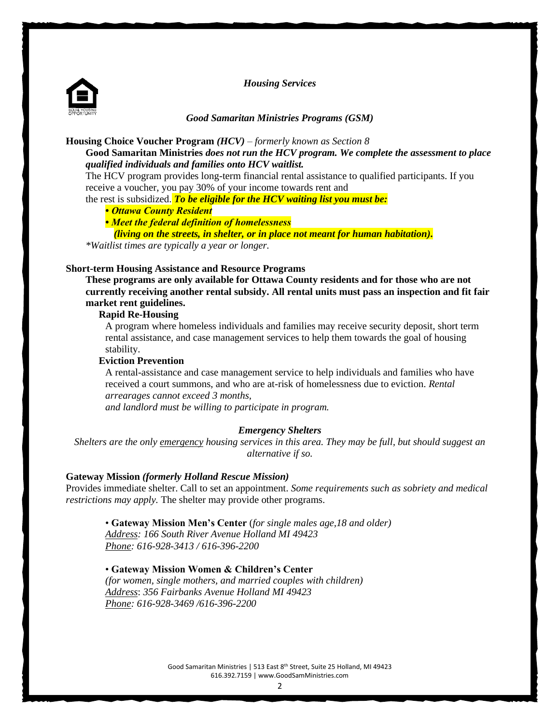*Housing Services*



### *Good Samaritan Ministries Programs (GSM)*

### **Housing Choice Voucher Program** *(HCV)* – *formerly known as Section 8*

**Good Samaritan Ministries** *does not run the HCV program. We complete the assessment to place qualified individuals and families onto HCV waitlist.* 

The HCV program provides long-term financial rental assistance to qualified participants. If you receive a voucher, you pay 30% of your income towards rent and

the rest is subsidized. *To be eligible for the HCV waiting list you must be:*

### *• Ottawa County Resident*

*• Meet the federal definition of homelessness* 

*(living on the streets, in shelter, or in place not meant for human habitation).*

*\*Waitlist times are typically a year or longer.*

## **Short-term Housing Assistance and Resource Programs**

**These programs are only available for Ottawa County residents and for those who are not currently receiving another rental subsidy. All rental units must pass an inspection and fit fair market rent guidelines.** 

## **Rapid Re-Housing**

A program where homeless individuals and families may receive security deposit, short term rental assistance, and case management services to help them towards the goal of housing stability.

#### **Eviction Prevention**

A rental-assistance and case management service to help individuals and families who have received a court summons, and who are at-risk of homelessness due to eviction. *Rental arrearages cannot exceed 3 months,* 

*and landlord must be willing to participate in program.*

#### *Emergency Shelters*

*Shelters are the only emergency housing services in this area. They may be full, but should suggest an alternative if so.*

### **Gateway Mission** *(formerly Holland Rescue Mission)*

Provides immediate shelter. Call to set an appointment. *Some requirements such as sobriety and medical restrictions may apply.* The shelter may provide other programs.

## • **Gateway Mission Men's Center** (*for single males age,18 and older)*

*Address: 166 South River Avenue Holland MI 49423 Phone: 616-928-3413 / 616-396-2200*

#### • **Gateway Mission Women & Children's Center**

*(for women, single mothers, and married couples with children) Address*: *356 Fairbanks Avenue Holland MI 49423 Phone: 616-928-3469 /616-396-2200*

> Good Samaritan Ministries | 513 East 8th Street, Suite 25 Holland, MI 49423 616.392.7159 | www.GoodSamMinistries.com

> > 2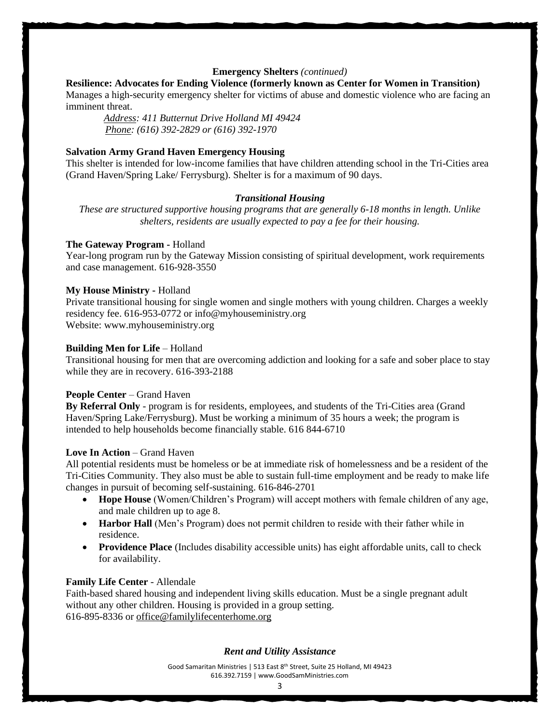## **Emergency Shelters** *(continued)*

## **Resilience: Advocates for Ending Violence (formerly known as Center for Women in Transition)**

Manages a high-security emergency shelter for victims of abuse and domestic violence who are facing an imminent threat.

 *Address: 411 Butternut Drive Holland MI 49424 Phone: (616) 392-2829 or (616) 392-1970*

### **Salvation Army Grand Haven Emergency Housing**

This shelter is intended for low-income families that have children attending school in the Tri-Cities area (Grand Haven/Spring Lake/ Ferrysburg). Shelter is for a maximum of 90 days.

#### *Transitional Housing*

*These are structured supportive housing programs that are generally 6-18 months in length. Unlike shelters, residents are usually expected to pay a fee for their housing.*

### **The Gateway Program -** Holland

Year-long program run by the Gateway Mission consisting of spiritual development, work requirements and case management. 616-928-3550

## **My House Ministry -** Holland

Private transitional housing for single women and single mothers with young children. Charges a weekly residency fee. 616-953-0772 or [info@myhouseministry.org](mailto:info@myhouseministry.org) Website: www.myhouseministry.org

#### **Building Men for Life – Holland**

Transitional housing for men that are overcoming addiction and looking for a safe and sober place to stay while they are in recovery. 616-393-2188

### **People Center – Grand Haven**

**By Referral Only** - program is for residents, employees, and students of the Tri-Cities area (Grand Haven/Spring Lake/Ferrysburg). Must be working a minimum of 35 hours a week; the program is intended to help households become financially stable. 616 844-6710

## Love In Action – Grand Haven

All potential residents must be homeless or be at immediate risk of homelessness and be a resident of the Tri-Cities Community. They also must be able to sustain full-time employment and be ready to make life changes in pursuit of becoming self-sustaining. 616-846-2701

- **Hope House** (Women/Children's Program) will accept mothers with female children of any age, and male children up to age 8.
- **Harbor Hall** (Men's Program) does not permit children to reside with their father while in residence.
- **Providence Place** (Includes disability accessible units) has eight affordable units, call to check for availability.

#### **Family Life Center** - Allendale

Faith-based shared housing and independent living skills education. Must be a single pregnant adult without any other children. Housing is provided in a group setting. 616-895-8336 or [office@familylifecenterhome.org](mailto:office@familylifecenterhome.org)

#### *Rent and Utility Assistance*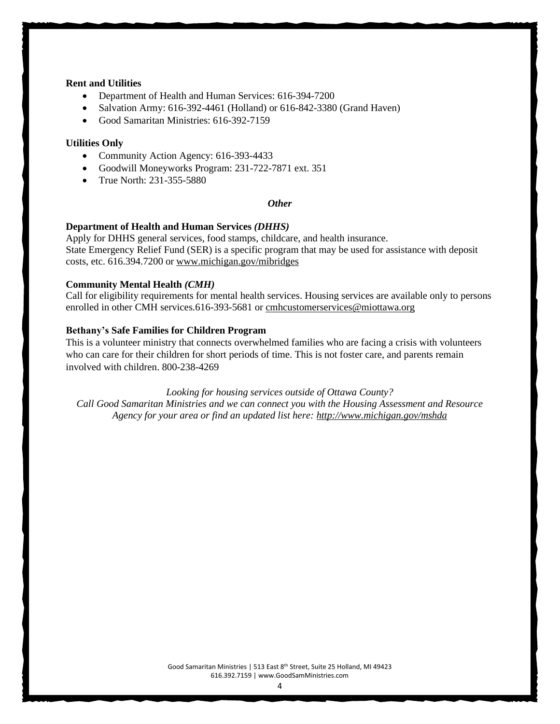## **Rent and Utilities**

- Department of Health and Human Services: 616-394-7200
- Salvation Army: 616-392-4461 (Holland) or 616-842-3380 (Grand Haven)
- Good Samaritan Ministries: 616-392-7159

#### **Utilities Only**

- Community Action Agency: 616-393-4433
- Goodwill Moneyworks Program: 231-722-7871 ext. 351
- True North: 231-355-5880

#### *Other*

#### **Department of Health and Human Services** *(DHHS)*

Apply for DHHS general services, food stamps, childcare, and health insurance. State Emergency Relief Fund (SER) is a specific program that may be used for assistance with deposit costs, etc. 616.394.7200 or www.michigan.gov/mibridges

#### **Community Mental Health** *(CMH)*

Call for eligibility requirements for mental health services. Housing services are available only to persons enrolled in other CMH services.616-393-5681 or [cmhcustomerservices@miottawa.org](mailto:cmhcustomerservices@miottawa.org)

#### **Bethany's Safe Families for Children Program**

This is a volunteer ministry that connects overwhelmed families who are facing a crisis with volunteers who can care for their children for short periods of time. This is not foster care, and parents remain involved with children. 800-238-4269

*Looking for housing services outside of Ottawa County? Call Good Samaritan Ministries and we can connect you with the Housing Assessment and Resource Agency for your area or find an updated list here: http://www.michigan.gov/mshda*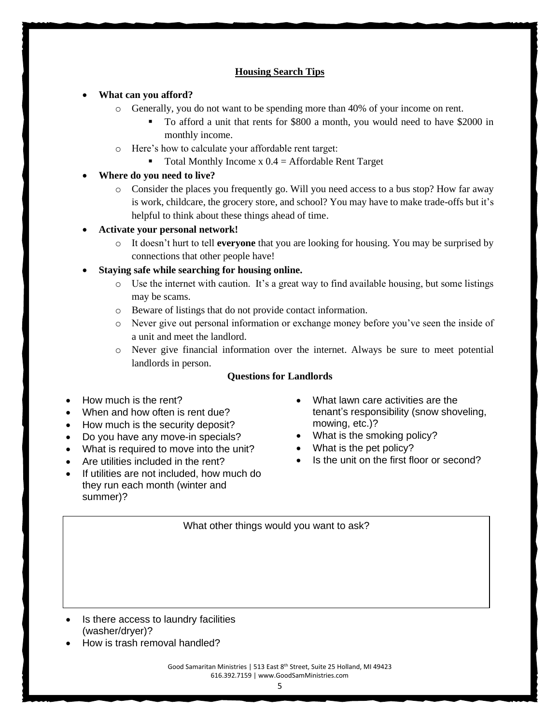## **Housing Search Tips**

## • **What can you afford?**

- o Generally, you do not want to be spending more than 40% of your income on rent.
	- To afford a unit that rents for \$800 a month, you would need to have \$2000 in monthly income.
- o Here's how to calculate your affordable rent target:
	- Total Monthly Income  $x \cdot 0.4$  = Affordable Rent Target
- **Where do you need to live?**
	- o Consider the places you frequently go. Will you need access to a bus stop? How far away is work, childcare, the grocery store, and school? You may have to make trade-offs but it's helpful to think about these things ahead of time.
- **Activate your personal network!**
	- o It doesn't hurt to tell **everyone** that you are looking for housing. You may be surprised by connections that other people have!
- **Staying safe while searching for housing online.**
	- $\circ$  Use the internet with caution. It's a great way to find available housing, but some listings may be scams.
	- o Beware of listings that do not provide contact information.
	- o Never give out personal information or exchange money before you've seen the inside of a unit and meet the landlord.
	- o Never give financial information over the internet. Always be sure to meet potential landlords in person.

## **Questions for Landlords**

- How much is the rent?
- When and how often is rent due?
- How much is the security deposit?
- Do you have any move-in specials?
- What is required to move into the unit?
- Are utilities included in the rent?
- If utilities are not included, how much do they run each month (winter and summer)?
- What lawn care activities are the tenant's responsibility (snow shoveling, mowing, etc.)?
- What is the smoking policy?
- What is the pet policy?
- Is the unit on the first floor or second?

What other things would you want to ask?

- Is there access to laundry facilities (washer/dryer)?
- How is trash removal handled?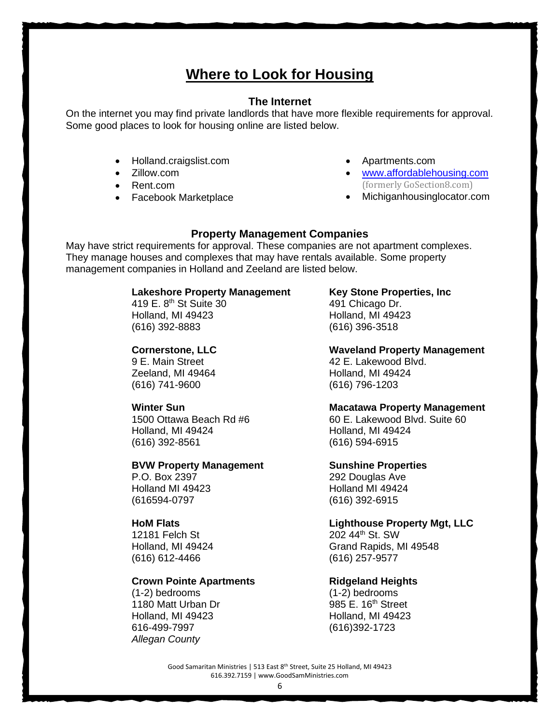# **Where to Look for Housing**

## **The Internet**

On the internet you may find private landlords that have more flexible requirements for approval. Some good places to look for housing online are listed below.

- Holland.craigslist.com
- Zillow.com
- Rent.com
- Facebook Marketplace
- Apartments.com
- [www.affordablehousing.com](http://www.affordablehousing.com/) (formerly GoSection8.com)
- Michiganhousinglocator.com

## **Property Management Companies**

May have strict requirements for approval. These companies are not apartment complexes. They manage houses and complexes that may have rentals available. Some property management companies in Holland and Zeeland are listed below.

## **Lakeshore Property Management Key Stone Properties, Inc**

419 E. 8<sup>th</sup> St Suite 30 491 Chicago Dr. Holland, MI 49423 Holland, MI 49423 (616) 392-8883 (616) 396-3518

Zeeland, MI 49464 Holland, MI 49424 (616) 741-9600 (616) 796-1203

Holland, MI 49424 Holland, MI 49424 (616) 392-8561 (616) 594-6915

## **BVW Property Management Sunshine Properties**

P.O. Box 2397 292 Douglas Ave Holland MI 49423 Holland MI 49424 (616594-0797 (616) 392-6915

 $12181$  Felch St (616) 612-4466 [\(616\) 257-9577](https://www.google.com/search?gs_ssp=eJwNyEEKgCAQAEC61ick6GzitlpP6Be1bBqYhRnY72uOUzfSSZULmWhiX01dX6xV46rIMA4DoFbTXxqAEWi0uJFGmNuwO5_9-dwsrnRenPIrjiUujg-OWYRAH2BjG5A&q=lighthouse+property+management+llc&rlz=1C1GCEA_enUS914US914&oq=Lighthouse+Property+Management+LLC&aqs=chrome.0.46i175i199i512j0i512j69i57j46i175i199i512j0i512j46i175i199i512j0i22i30l4.3590j0j4&sourceid=chrome&ie=UTF-8)

## **Crown Pointe Apartments Fidgeland Heights**

(1-2) bedrooms (1-2) bedrooms 1180 Matt Urban Dr 985 E. 16th Street Holland, MI 49423 Holland, MI 49423 616-499-7997 (616)392-1723 *Allegan County* 

**Cornerstone, LLC Waveland Property Management** 9 E. Main Street **42 E. Lakewood Blvd.** 

## **Winter Sun Macatawa Property Management**

1500 Ottawa Beach Rd #6 60 F. Lakewood Blvd. Suite 60

## **HoM Flats Home Home Lighthouse Property Mgt, LLC**

202 44<sup>th</sup> St. SW Holland, MI 49424 Grand Rapids, MI 49548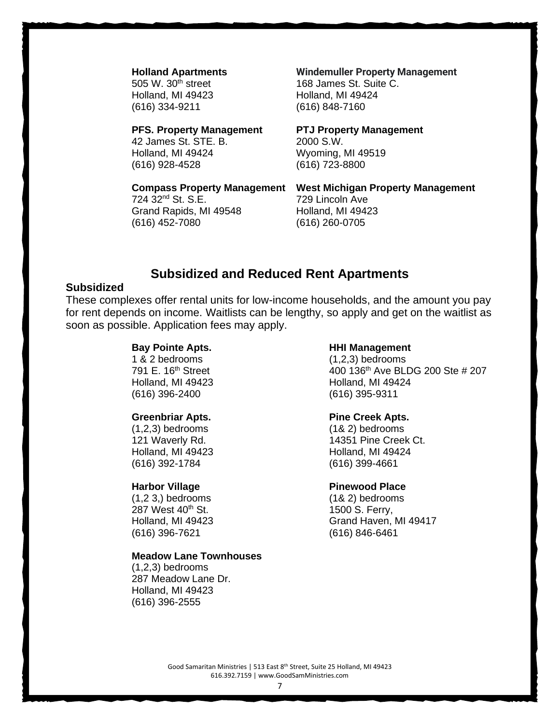Holland, MI 49423 Holland, MI 49424 (616) 334-9211 (616) 848-7160

## **PFS. Property Management PTJ Property Management**

42 James St. STE. B. 2000 S.W. Holland, MI 49424 Wyoming, MI 49519 (616) 928-4528 (616) 723-8800

724 32<sup>nd</sup> St. S.E. 729 Lincoln Ave Grand Rapids, MI 49548 Holland, MI 49423 (616) 452-7080 (616) 260-0705

## **Holland Apartments Windemuller Property Management**

505 W. 30<sup>th</sup> street 168 James St. Suite C.

**Compass Property Management West Michigan Property Management**

## **Subsidized and Reduced Rent Apartments**

## **Subsidized**

These complexes offer rental units for low-income households, and the amount you pay for rent depends on income. Waitlists can be lengthy, so apply and get on the waitlist as soon as possible. Application fees may apply.

(616) 396-2400 (616) 395-9311

Holland, MI 49423 Holland, MI 49424 (616) 392-1784 (616) 399-4661

287 West 40<sup>th</sup> St. 287 West 40<sup>th</sup> St. (616) 396-7621 (616) 846-6461

## **Meadow Lane Townhouses**

(1,2,3) bedrooms 287 Meadow Lane Dr. Holland, MI 49423 (616) 396-2555

#### **Bay Pointe Apts. HHI Management**

1 & 2 bedrooms (1,2,3) bedrooms 791 E. 16th Street 400 136th Ave BLDG 200 Ste # 207 Holland, MI 49423 **Holland, MI 49424** 

## **Greenbriar Apts. Pine Creek Apts.**

(1,2,3) bedrooms (1& 2) bedrooms 121 Waverly Rd. 14351 Pine Creek Ct.

## **Harbor Village Community Pinewood Place**

(1,2 3,) bedrooms (1& 2) bedrooms Holland, MI 49423 Grand Haven, MI 49417

7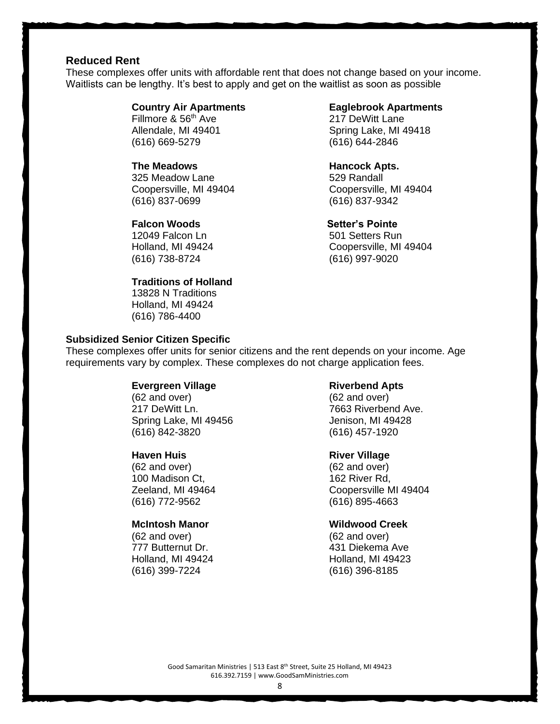## **Reduced Rent**

These complexes offer units with affordable rent that does not change based on your income. Waitlists can be lengthy. It's best to apply and get on the waitlist as soon as possible

Fillmore & 56<sup>th</sup> Ave 217 DeWitt Lane (616) 669-5279 (616) 644-2846

325 Meadow Lane 629 Randall Coopersville, MI 49404 Coopersville, MI 49404 (616) 837-0699 (616) 837-9342

### **Falcon Woods** Setter's Pointe

12049 Falcon Ln 501 Setters Run (616) 738-8724 (616) 997-9020

### **Traditions of Holland**

13828 N Traditions Holland, MI 49424 (616) 786-4400

## **Subsidized Senior Citizen Specific**

## **Country Air Apartments Eaglebrook Apartments**

Allendale, MI 49401 Spring Lake, MI 49418

**The Meadows Contract Contract Application Hancock Apts.** 

Holland, MI 49424 Coopersville, MI 49404

These complexes offer units for senior citizens and the rent depends on your income. Age requirements vary by complex. These complexes do not charge application fees.

#### **Evergreen Village**

(62 and over) 217 DeWitt Ln. Spring Lake, MI 49456 (616) 842-3820

## **Haven Huis**

(62 and over) 100 Madison Ct, Zeeland, MI 49464 (616) 772-9562

## **McIntosh Manor**

(62 and over) 777 Butternut Dr. Holland, MI 49424 (616) 399-7224

#### **Riverbend Apts**

(62 and over) 7663 Riverbend Ave. Jenison, MI 49428 (616) 457-1920

#### **River Village**

(62 and over) 162 River Rd, Coopersville MI 49404 (616) 895-4663

## **Wildwood Creek**

(62 and over) 431 Diekema Ave Holland, MI 49423 (616) 396-8185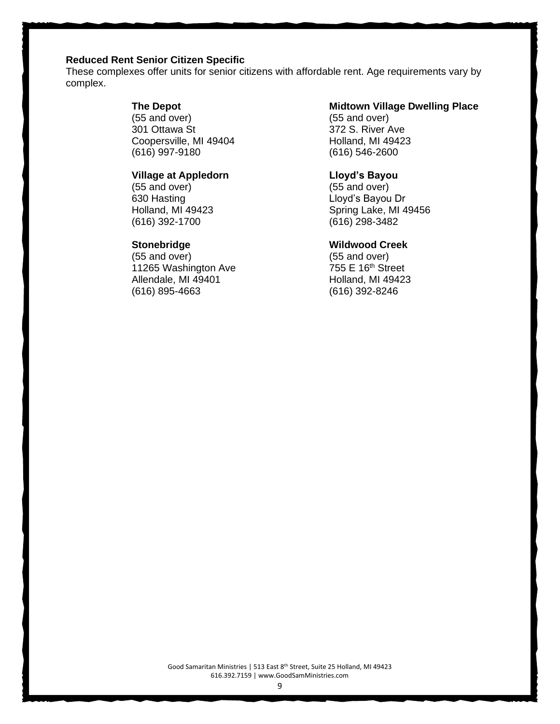## **Reduced Rent Senior Citizen Specific**

These complexes offer units for senior citizens with affordable rent. Age requirements vary by complex.

## **The Depot**

(55 and over) 301 Ottawa St Coopersville, MI 49404 (616) 997-9180

## **Village at Appledorn**

(55 and over) 630 Hasting Holland, MI 49423 (616) 392-1700

## **Stonebridge**

(55 and over) 11265 Washington Ave Allendale, MI 49401 (616) 895-4663

## **Midtown Village Dwelling Place**

(55 and over) 372 S. River Ave Holland, MI 49423 (616) 546-2600

## **Lloyd's Bayou**

(55 and over) Lloyd's Bayou Dr Spring Lake, MI 49456 (616) 298-3482

## **Wildwood Creek**

(55 and over)  $755$  E 16<sup>th</sup> Street Holland, MI 49423 (616) 392-8246

Good Samaritan Ministries | 513 East 8th Street, Suite 25 Holland, MI 49423 616.392.7159 | www.GoodSamMinistries.com

9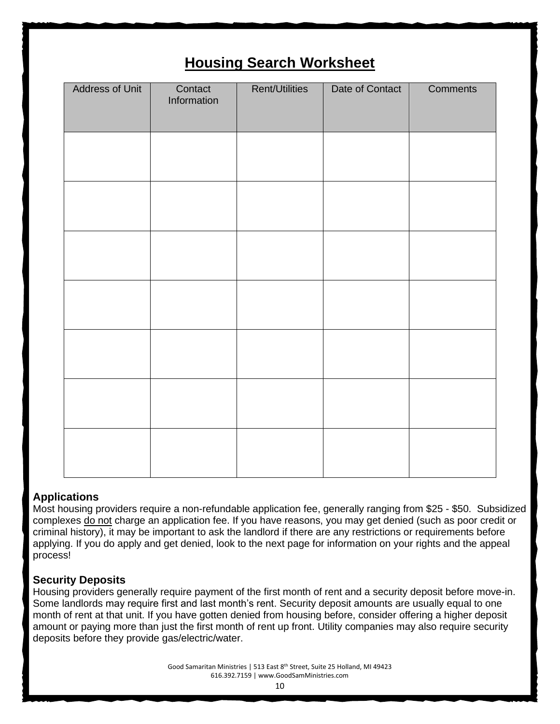# **Housing Search Worksheet**

| <b>Address of Unit</b> | Contact<br>Information | <b>Rent/Utilities</b> | Date of Contact | Comments |
|------------------------|------------------------|-----------------------|-----------------|----------|
|                        |                        |                       |                 |          |
|                        |                        |                       |                 |          |
|                        |                        |                       |                 |          |
|                        |                        |                       |                 |          |
|                        |                        |                       |                 |          |
|                        |                        |                       |                 |          |
|                        |                        |                       |                 |          |
|                        |                        |                       |                 |          |
|                        |                        |                       |                 |          |
|                        |                        |                       |                 |          |
|                        |                        |                       |                 |          |
|                        |                        |                       |                 |          |
|                        |                        |                       |                 |          |
|                        |                        |                       |                 |          |
|                        |                        |                       |                 |          |
|                        |                        |                       |                 |          |

## **Applications**

Most housing providers require a non-refundable application fee, generally ranging from \$25 - \$50. Subsidized complexes do not charge an application fee. If you have reasons, you may get denied (such as poor credit or criminal history), it may be important to ask the landlord if there are any restrictions or requirements before applying. If you do apply and get denied, look to the next page for information on your rights and the appeal process!

## **Security Deposits**

Housing providers generally require payment of the first month of rent and a security deposit before move-in. Some landlords may require first and last month's rent. Security deposit amounts are usually equal to one month of rent at that unit. If you have gotten denied from housing before, consider offering a higher deposit amount or paying more than just the first month of rent up front. Utility companies may also require security deposits before they provide gas/electric/water.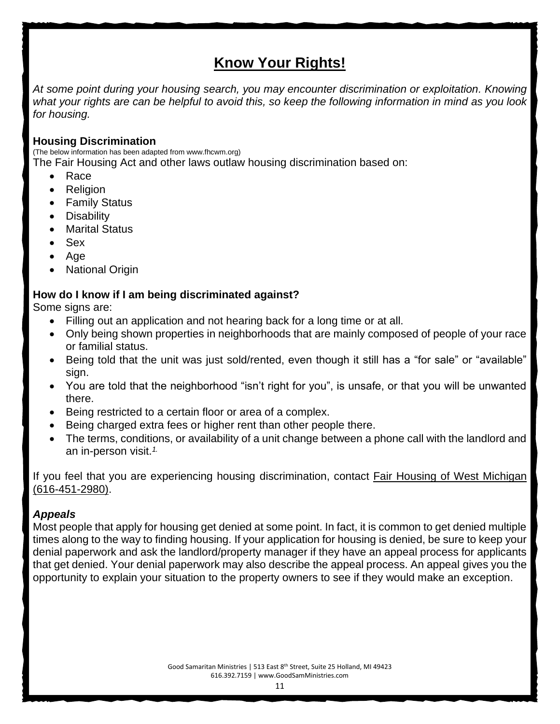# **Know Your Rights!**

*At some point during your housing search, you may encounter discrimination or exploitation. Knowing what your rights are can be helpful to avoid this, so keep the following information in mind as you look for housing.*

## **Housing Discrimination**

(The below information has been adapted from www.fhcwm.org)

The Fair Housing Act and other laws outlaw housing discrimination based on:

- Race
- Religion
- Family Status
- **Disability**
- **Marital Status**
- Sex
- Age
- **National Origin**

## **How do I know if I am being discriminated against?**

Some signs are:

- Filling out an application and not hearing back for a long time or at all.
- Only being shown properties in neighborhoods that are mainly composed of people of your race or familial status.
- Being told that the unit was just sold/rented, even though it still has a "for sale" or "available" sign.
- You are told that the neighborhood "isn't right for you", is unsafe, or that you will be unwanted there.
- Being restricted to a certain floor or area of a complex.
- Being charged extra fees or higher rent than other people there.
- The terms, conditions, or availability of a unit change between a phone call with the landlord and an in-person visit.*1.*

If you feel that you are experiencing housing discrimination, contact Fair Housing of West Michigan (616-451-2980).

## *Appeals*

Most people that apply for housing get denied at some point. In fact, it is common to get denied multiple times along to the way to finding housing. If your application for housing is denied, be sure to keep your denial paperwork and ask the landlord/property manager if they have an appeal process for applicants that get denied. Your denial paperwork may also describe the appeal process. An appeal gives you the opportunity to explain your situation to the property owners to see if they would make an exception.